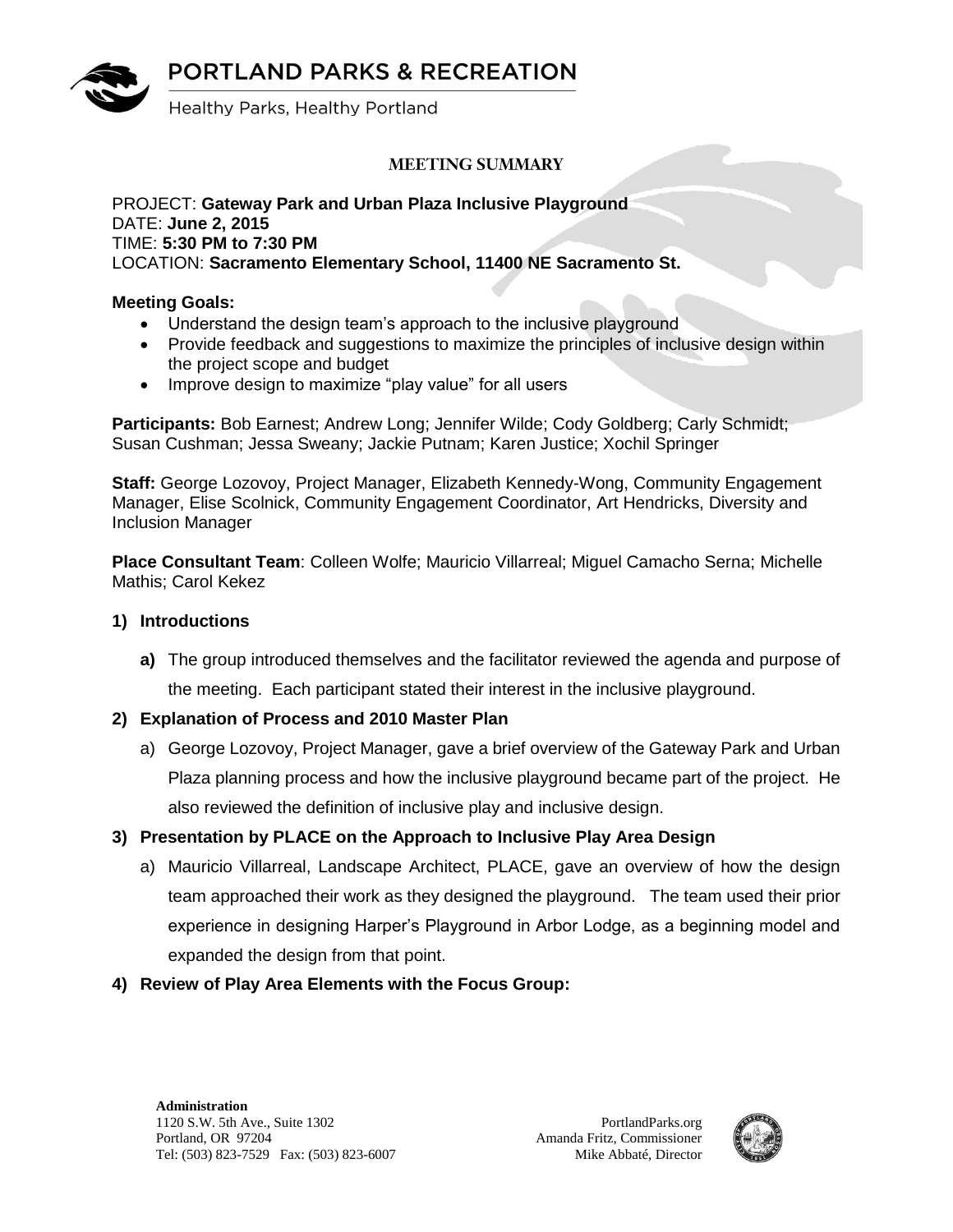**PORTLAND PARKS & RECREATION** 



Healthy Parks, Healthy Portland

# **MEETING SUMMARY**

#### PROJECT: **Gateway Park and Urban Plaza Inclusive Playground** DATE: **June 2, 2015** TIME: **5:30 PM to 7:30 PM** LOCATION: **Sacramento Elementary School, 11400 NE Sacramento St.**

### **Meeting Goals:**

- Understand the design team's approach to the inclusive playground
- Provide feedback and suggestions to maximize the principles of inclusive design within the project scope and budget
- Improve design to maximize "play value" for all users

**Participants:** Bob Earnest; Andrew Long; Jennifer Wilde; Cody Goldberg; Carly Schmidt; Susan Cushman; Jessa Sweany; Jackie Putnam; Karen Justice; Xochil Springer

**Staff:** George Lozovoy, Project Manager, Elizabeth Kennedy-Wong, Community Engagement Manager, Elise Scolnick, Community Engagement Coordinator, Art Hendricks, Diversity and Inclusion Manager

**Place Consultant Team**: Colleen Wolfe; Mauricio Villarreal; Miguel Camacho Serna; Michelle Mathis; Carol Kekez

#### **1) Introductions**

- **a)** The group introduced themselves and the facilitator reviewed the agenda and purpose of the meeting. Each participant stated their interest in the inclusive playground.
- **2) Explanation of Process and 2010 Master Plan**
	- a) George Lozovoy, Project Manager, gave a brief overview of the Gateway Park and Urban Plaza planning process and how the inclusive playground became part of the project. He also reviewed the definition of inclusive play and inclusive design.

# **3) Presentation by PLACE on the Approach to Inclusive Play Area Design**

- a) Mauricio Villarreal, Landscape Architect, PLACE, gave an overview of how the design team approached their work as they designed the playground. The team used their prior experience in designing Harper's Playground in Arbor Lodge, as a beginning model and expanded the design from that point.
- **4) Review of Play Area Elements with the Focus Group:**

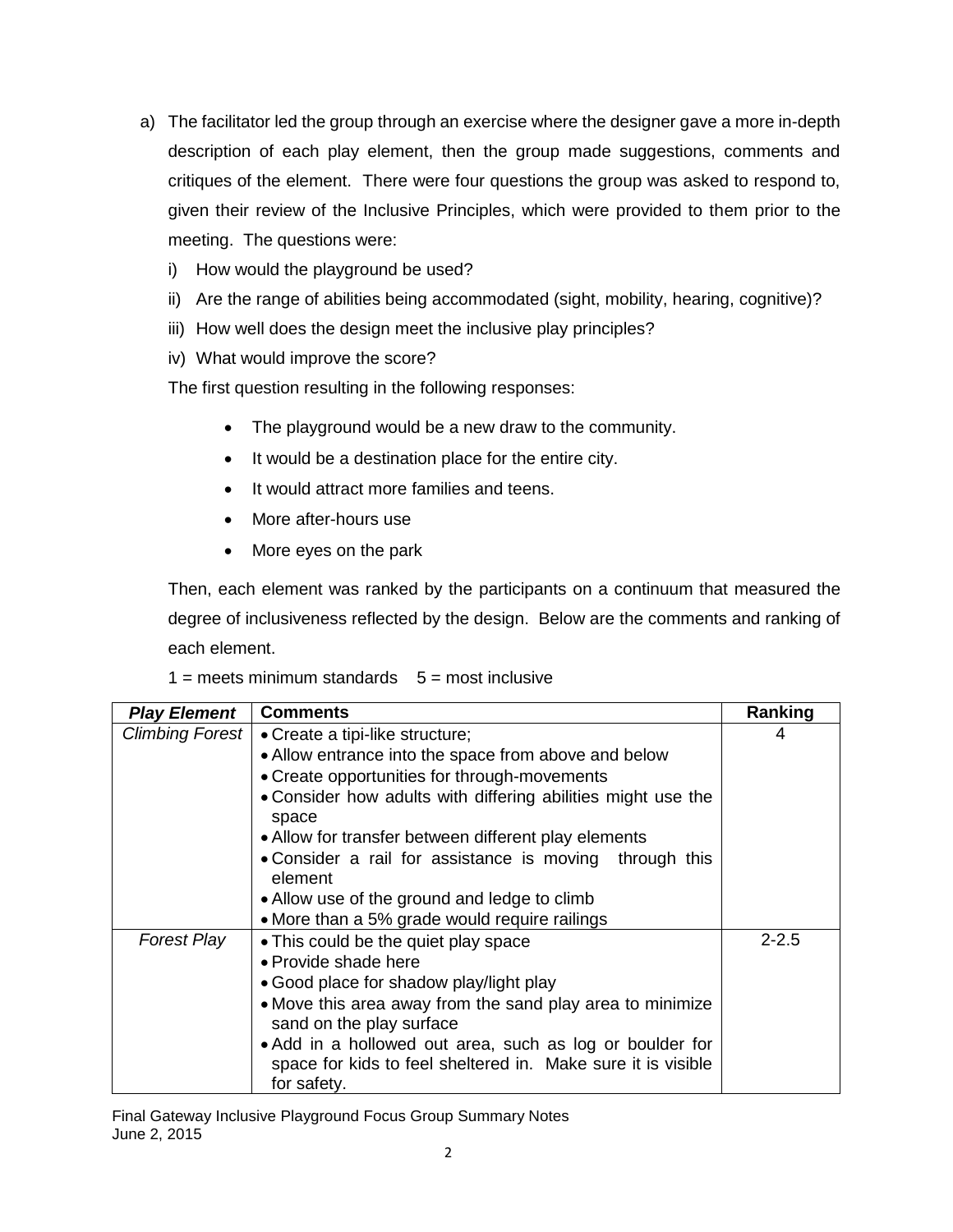- a) The facilitator led the group through an exercise where the designer gave a more in-depth description of each play element, then the group made suggestions, comments and critiques of the element. There were four questions the group was asked to respond to, given their review of the Inclusive Principles, which were provided to them prior to the meeting. The questions were:
	- i) How would the playground be used?
	- ii) Are the range of abilities being accommodated (sight, mobility, hearing, cognitive)?
	- iii) How well does the design meet the inclusive play principles?
	- iv) What would improve the score?

The first question resulting in the following responses:

- The playground would be a new draw to the community.
- It would be a destination place for the entire city.
- It would attract more families and teens.
- More after-hours use
- More eyes on the park

Then, each element was ranked by the participants on a continuum that measured the degree of inclusiveness reflected by the design. Below are the comments and ranking of each element.

#### $1 =$  meets minimum standards  $5 =$  most inclusive

| <b>Play Element</b>    | <b>Comments</b>                                                       | Ranking   |
|------------------------|-----------------------------------------------------------------------|-----------|
| <b>Climbing Forest</b> | • Create a tipi-like structure;                                       | 4         |
|                        | • Allow entrance into the space from above and below                  |           |
|                        | • Create opportunities for through-movements                          |           |
|                        | • Consider how adults with differing abilities might use the<br>space |           |
|                        | • Allow for transfer between different play elements                  |           |
|                        | • Consider a rail for assistance is moving through this<br>element    |           |
|                        | • Allow use of the ground and ledge to climb                          |           |
|                        | • More than a 5% grade would require railings                         |           |
| <b>Forest Play</b>     | • This could be the quiet play space                                  | $2 - 2.5$ |
|                        | • Provide shade here                                                  |           |
|                        | • Good place for shadow play/light play                               |           |
|                        | • Move this area away from the sand play area to minimize             |           |
|                        | sand on the play surface                                              |           |
|                        | • Add in a hollowed out area, such as log or boulder for              |           |
|                        | space for kids to feel sheltered in. Make sure it is visible          |           |
|                        | for safety.                                                           |           |

Final Gateway Inclusive Playground Focus Group Summary Notes June 2, 2015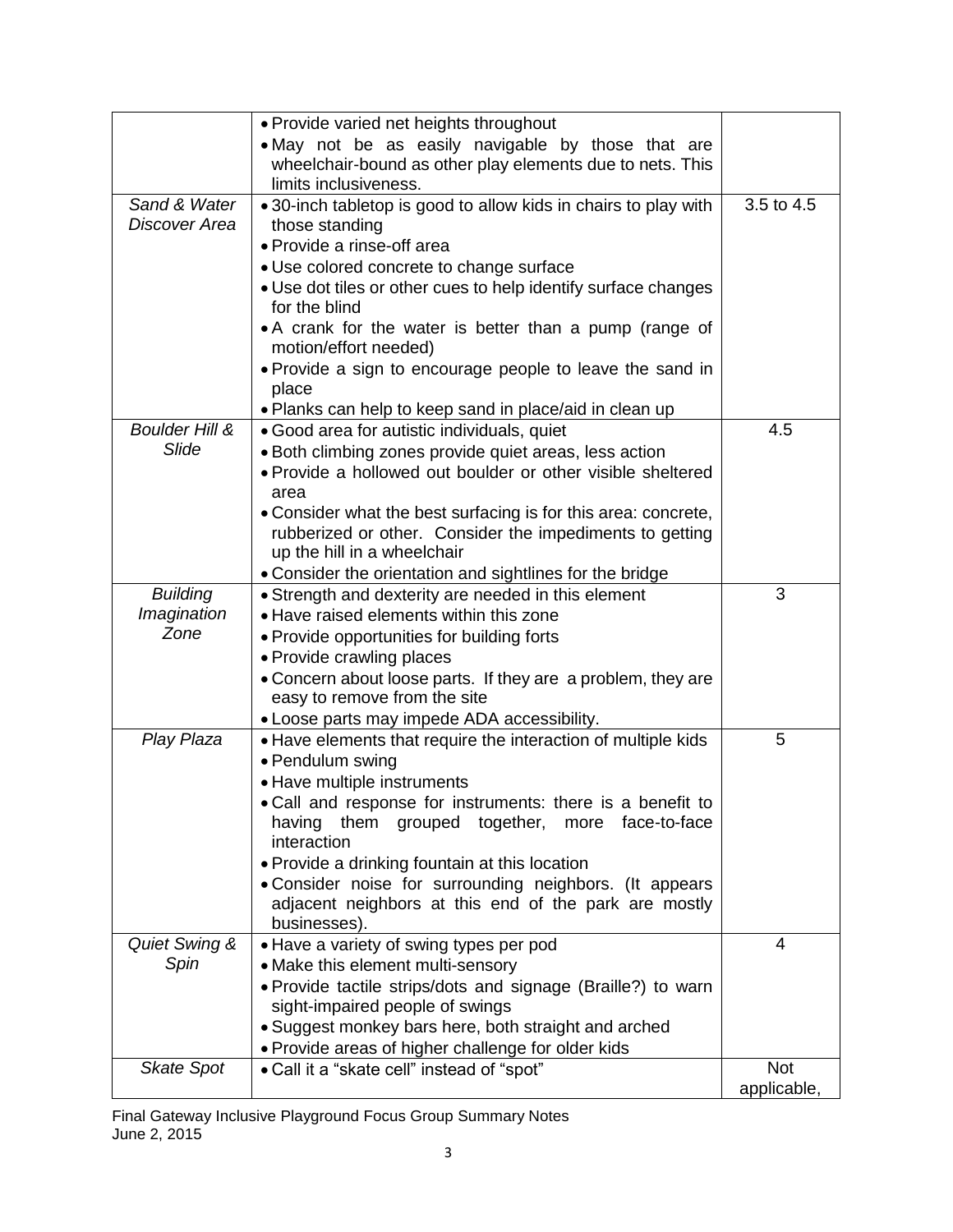|                           | • Provide varied net heights throughout                                          |                    |
|---------------------------|----------------------------------------------------------------------------------|--------------------|
|                           | . May not be as easily navigable by those that are                               |                    |
|                           | wheelchair-bound as other play elements due to nets. This                        |                    |
|                           | limits inclusiveness.                                                            |                    |
| Sand & Water              | • 30-inch tabletop is good to allow kids in chairs to play with                  | 3.5 to 4.5         |
| Discover Area             | those standing                                                                   |                    |
|                           | • Provide a rinse-off area                                                       |                    |
|                           | · Use colored concrete to change surface                                         |                    |
|                           | • Use dot tiles or other cues to help identify surface changes<br>for the blind  |                    |
|                           | • A crank for the water is better than a pump (range of<br>motion/effort needed) |                    |
|                           | • Provide a sign to encourage people to leave the sand in<br>place               |                    |
|                           | • Planks can help to keep sand in place/aid in clean up                          |                    |
| <b>Boulder Hill &amp;</b> | · Good area for autistic individuals, quiet                                      | 4.5                |
| Slide                     | · Both climbing zones provide quiet areas, less action                           |                    |
|                           | • Provide a hollowed out boulder or other visible sheltered                      |                    |
|                           | area                                                                             |                    |
|                           | • Consider what the best surfacing is for this area: concrete,                   |                    |
|                           | rubberized or other. Consider the impediments to getting                         |                    |
|                           | up the hill in a wheelchair                                                      |                    |
|                           | • Consider the orientation and sightlines for the bridge                         |                    |
| <b>Building</b>           | • Strength and dexterity are needed in this element                              | 3                  |
| Imagination               | • Have raised elements within this zone                                          |                    |
| Zone                      | • Provide opportunities for building forts                                       |                    |
|                           | • Provide crawling places                                                        |                    |
|                           | • Concern about loose parts. If they are a problem, they are                     |                    |
|                           | easy to remove from the site                                                     |                    |
|                           | • Loose parts may impede ADA accessibility.                                      |                    |
| Play Plaza                | • Have elements that require the interaction of multiple kids                    | 5                  |
|                           | • Pendulum swing                                                                 |                    |
|                           | • Have multiple instruments                                                      |                    |
|                           | • Call and response for instruments: there is a benefit to                       |                    |
|                           | having them grouped together,<br>face-to-face<br>more<br>interaction             |                    |
|                           | • Provide a drinking fountain at this location                                   |                    |
|                           | • Consider noise for surrounding neighbors. (It appears                          |                    |
|                           | adjacent neighbors at this end of the park are mostly                            |                    |
|                           | businesses).                                                                     |                    |
| Quiet Swing &             | · Have a variety of swing types per pod                                          | 4                  |
| Spin                      | • Make this element multi-sensory                                                |                    |
|                           | · Provide tactile strips/dots and signage (Braille?) to warn                     |                    |
|                           | sight-impaired people of swings                                                  |                    |
|                           | • Suggest monkey bars here, both straight and arched                             |                    |
|                           | • Provide areas of higher challenge for older kids                               |                    |
| <b>Skate Spot</b>         | • Call it a "skate cell" instead of "spot"                                       | Not<br>applicable, |

Final Gateway Inclusive Playground Focus Group Summary Notes June 2, 2015